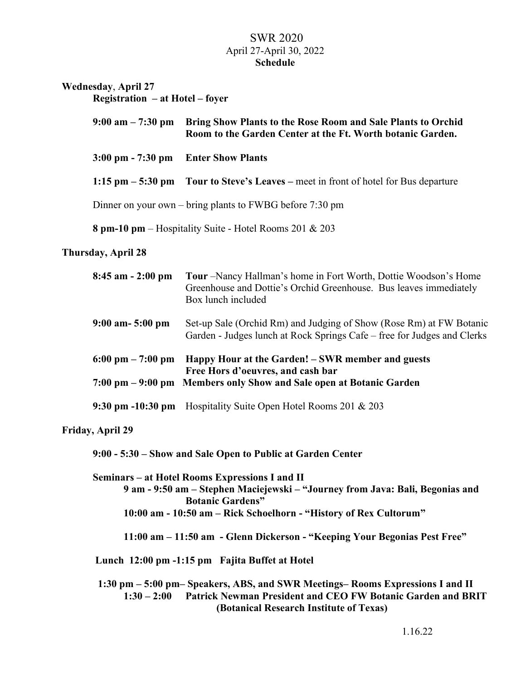## SWR 2020 April 27-April 30, 2022 **Schedule**

| <b>Wednesday, April 27</b><br>$Region - at Hotel - forer$ |                                                                                                                            |
|-----------------------------------------------------------|----------------------------------------------------------------------------------------------------------------------------|
| $9:00$ am $-7:30$ pm                                      | Bring Show Plants to the Rose Room and Sale Plants to Orchid<br>Room to the Garden Center at the Ft. Worth botanic Garden. |
|                                                           | 3:00 pm - 7:30 pm Enter Show Plants                                                                                        |
|                                                           | 1:15 pm $-$ 5:30 pm Tour to Steve's Leaves – meet in front of hotel for Bus departure                                      |
|                                                           | Dinner on your own – bring plants to FWBG before $7:30 \text{ pm}$                                                         |
|                                                           | 8 pm-10 pm – Hospitality Suite - Hotel Rooms 201 & 203                                                                     |
| <b>Thursday, April 28</b>                                 |                                                                                                                            |

| $8:45$ am $-2:00$ pm                | Tour –Nancy Hallman's home in Fort Worth, Dottie Woodson's Home<br>Greenhouse and Dottie's Orchid Greenhouse. Bus leaves immediately<br>Box lunch included |
|-------------------------------------|------------------------------------------------------------------------------------------------------------------------------------------------------------|
| $9:00$ am- $5:00$ pm                | Set-up Sale (Orchid Rm) and Judging of Show (Rose Rm) at FW Botanic<br>Garden - Judges lunch at Rock Springs Cafe – free for Judges and Clerks             |
| $6:00 \text{ pm} - 7:00 \text{ pm}$ | Happy Hour at the Garden! – SWR member and guests<br>Free Hors d'oeuvres, and cash bar                                                                     |
|                                     | 7:00 pm – 9:00 pm Members only Show and Sale open at Botanic Garden                                                                                        |
|                                     | 9:30 pm -10:30 pm Hospitality Suite Open Hotel Rooms 201 & 203                                                                                             |

#### **Friday, April 29**

**9:00 - 5:30 – Show and Sale Open to Public at Garden Center** 

**Seminars – at Hotel Rooms Expressions I and II 9 am - 9:50 am – Stephen Maciejewski – "Journey from Java: Bali, Begonias and Botanic Gardens" 10:00 am - 10:50 am – Rick Schoelhorn - "History of Rex Cultorum"** 

**11:00 am – 11:50 am - Glenn Dickerson - "Keeping Your Begonias Pest Free"** 

 **Lunch 12:00 pm -1:15 pm Fajita Buffet at Hotel** 

 **1:30 pm – 5:00 pm– Speakers, ABS, and SWR Meetings– Rooms Expressions I and II 1:30 – 2:00 Patrick Newman President and CEO FW Botanic Garden and BRIT (Botanical Research Institute of Texas)**